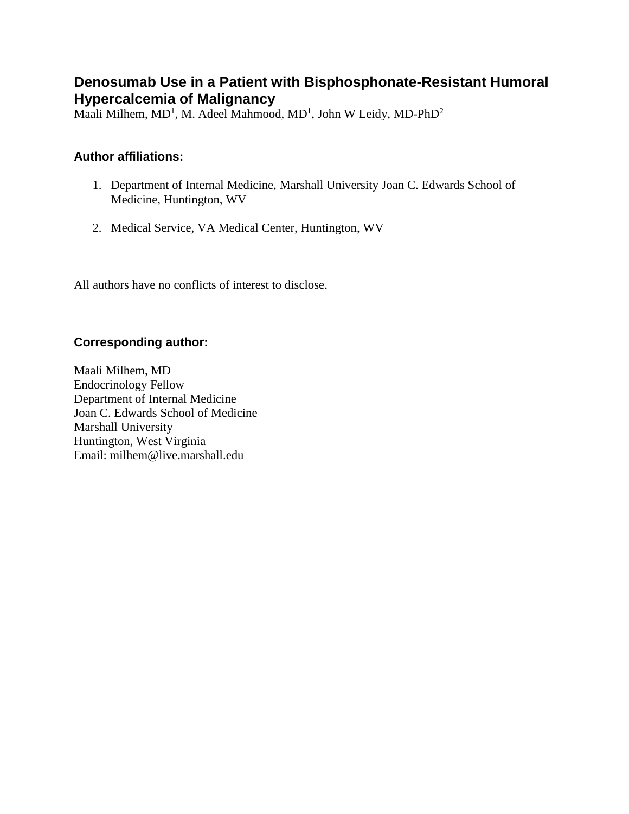# **Denosumab Use in a Patient with Bisphosphonate-Resistant Humoral Hypercalcemia of Malignancy**

Maali Milhem, MD<sup>1</sup>, M. Adeel Mahmood, MD<sup>1</sup>, John W Leidy, MD-PhD<sup>2</sup>

### **Author affiliations:**

- 1. Department of Internal Medicine, Marshall University Joan C. Edwards School of Medicine, Huntington, WV
- 2. Medical Service, VA Medical Center, Huntington, WV

All authors have no conflicts of interest to disclose.

### **Corresponding author:**

Maali Milhem, MD Endocrinology Fellow Department of Internal Medicine Joan C. Edwards School of Medicine Marshall University Huntington, West Virginia Email: milhem@live.marshall.edu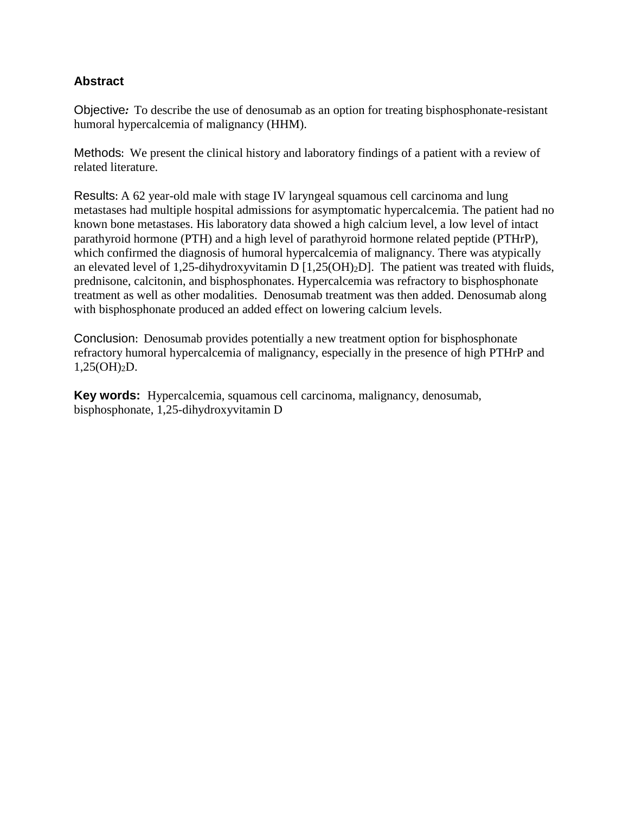### **Abstract**

Objective*:* To describe the use of denosumab as an option for treating bisphosphonate-resistant humoral hypercalcemia of malignancy (HHM).

Methods: We present the clinical history and laboratory findings of a patient with a review of related literature.

Results: A 62 year-old male with stage IV laryngeal squamous cell carcinoma and lung metastases had multiple hospital admissions for asymptomatic hypercalcemia. The patient had no known bone metastases. His laboratory data showed a high calcium level, a low level of intact parathyroid hormone (PTH) and a high level of parathyroid hormone related peptide (PTHrP), which confirmed the diagnosis of humoral hypercalcemia of malignancy. There was atypically an elevated level of 1,25-dihydroxyvitamin D  $[1,25(OH)_2D]$ . The patient was treated with fluids, prednisone, calcitonin, and bisphosphonates. Hypercalcemia was refractory to bisphosphonate treatment as well as other modalities. Denosumab treatment was then added. Denosumab along with bisphosphonate produced an added effect on lowering calcium levels.

Conclusion: Denosumab provides potentially a new treatment option for bisphosphonate refractory humoral hypercalcemia of malignancy, especially in the presence of high PTHrP and 1,25(OH)2D.

**Key words:** Hypercalcemia, squamous cell carcinoma, malignancy, denosumab, bisphosphonate, 1,25-dihydroxyvitamin D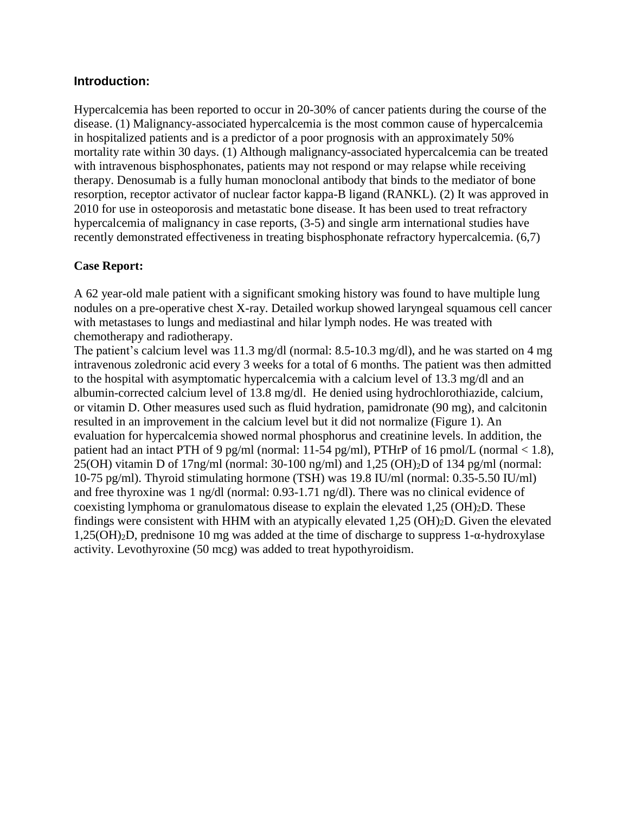#### **Introduction:**

Hypercalcemia has been reported to occur in 20-30% of cancer patients during the course of the disease. (1) Malignancy-associated hypercalcemia is the most common cause of hypercalcemia in hospitalized patients and is a predictor of a poor prognosis with an approximately 50% mortality rate within 30 days. (1) Although malignancy-associated hypercalcemia can be treated with intravenous bisphosphonates, patients may not respond or may relapse while receiving therapy. Denosumab is a fully human monoclonal antibody that binds to the mediator of bone resorption, receptor activator of nuclear factor kappa-B ligand (RANKL). (2) It was approved in 2010 for use in osteoporosis and metastatic bone disease. It has been used to treat refractory hypercalcemia of malignancy in case reports, (3-5) and single arm international studies have recently demonstrated effectiveness in treating bisphosphonate refractory hypercalcemia. (6,7)

#### **Case Report:**

A 62 year-old male patient with a significant smoking history was found to have multiple lung nodules on a pre-operative chest X-ray. Detailed workup showed laryngeal squamous cell cancer with metastases to lungs and mediastinal and hilar lymph nodes. He was treated with chemotherapy and radiotherapy.

The patient's calcium level was 11.3 mg/dl (normal: 8.5-10.3 mg/dl), and he was started on 4 mg intravenous zoledronic acid every 3 weeks for a total of 6 months. The patient was then admitted to the hospital with asymptomatic hypercalcemia with a calcium level of 13.3 mg/dl and an albumin-corrected calcium level of 13.8 mg/dl. He denied using hydrochlorothiazide, calcium, or vitamin D. Other measures used such as fluid hydration, pamidronate (90 mg), and calcitonin resulted in an improvement in the calcium level but it did not normalize (Figure 1). An evaluation for hypercalcemia showed normal phosphorus and creatinine levels. In addition, the patient had an intact PTH of 9 pg/ml (normal: 11-54 pg/ml), PTHrP of 16 pmol/L (normal  $< 1.8$ ),  $25(OH)$  vitamin D of 17ng/ml (normal: 30-100 ng/ml) and 1,25  $(OH)_2D$  of 134 pg/ml (normal: 10-75 pg/ml). Thyroid stimulating hormone (TSH) was 19.8 IU/ml (normal: 0.35-5.50 IU/ml) and free thyroxine was 1 ng/dl (normal: 0.93-1.71 ng/dl). There was no clinical evidence of coexisting lymphoma or granulomatous disease to explain the elevated  $1,25 \text{ (OH)}_2\text{D}$ . These findings were consistent with HHM with an atypically elevated 1,25 (OH)2D. Given the elevated 1,25(OH)2D, prednisone 10 mg was added at the time of discharge to suppress 1-α-hydroxylase activity. Levothyroxine (50 mcg) was added to treat hypothyroidism.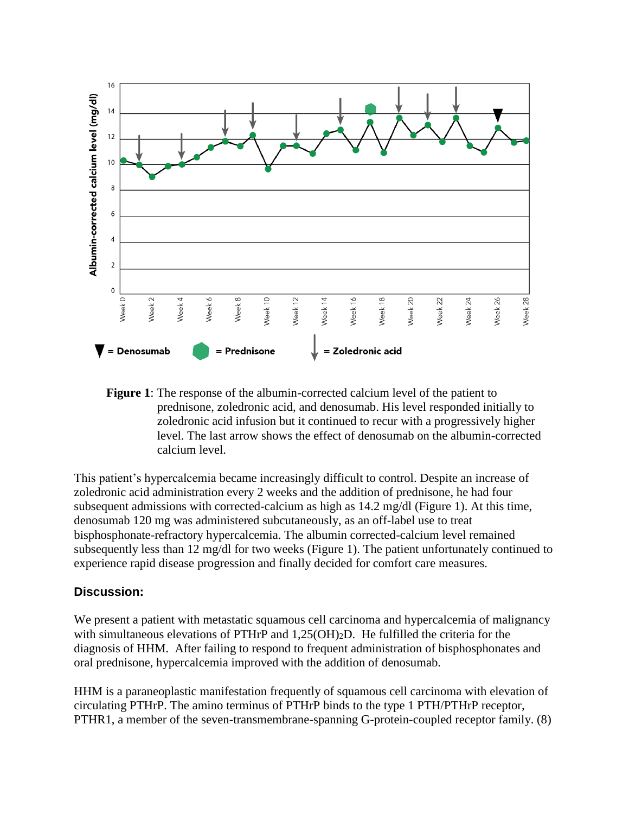

**Figure 1**: The response of the albumin-corrected calcium level of the patient to prednisone, zoledronic acid, and denosumab. His level responded initially to zoledronic acid infusion but it continued to recur with a progressively higher level. The last arrow shows the effect of denosumab on the albumin-corrected calcium level.

This patient's hypercalcemia became increasingly difficult to control. Despite an increase of zoledronic acid administration every 2 weeks and the addition of prednisone, he had four subsequent admissions with corrected-calcium as high as 14.2 mg/dl (Figure 1). At this time, denosumab 120 mg was administered subcutaneously, as an off-label use to treat bisphosphonate-refractory hypercalcemia. The albumin corrected-calcium level remained subsequently less than 12 mg/dl for two weeks (Figure 1). The patient unfortunately continued to experience rapid disease progression and finally decided for comfort care measures.

#### **Discussion:**

We present a patient with metastatic squamous cell carcinoma and hypercalcemia of malignancy with simultaneous elevations of PTHrP and  $1,25(OH)_2D$ . He fulfilled the criteria for the diagnosis of HHM. After failing to respond to frequent administration of bisphosphonates and oral prednisone, hypercalcemia improved with the addition of denosumab.

HHM is a paraneoplastic manifestation frequently of squamous cell carcinoma with elevation of circulating PTHrP. The amino terminus of PTHrP binds to the type 1 PTH/PTHrP receptor, PTHR1, a member of the seven-transmembrane-spanning G-protein-coupled receptor family. (8)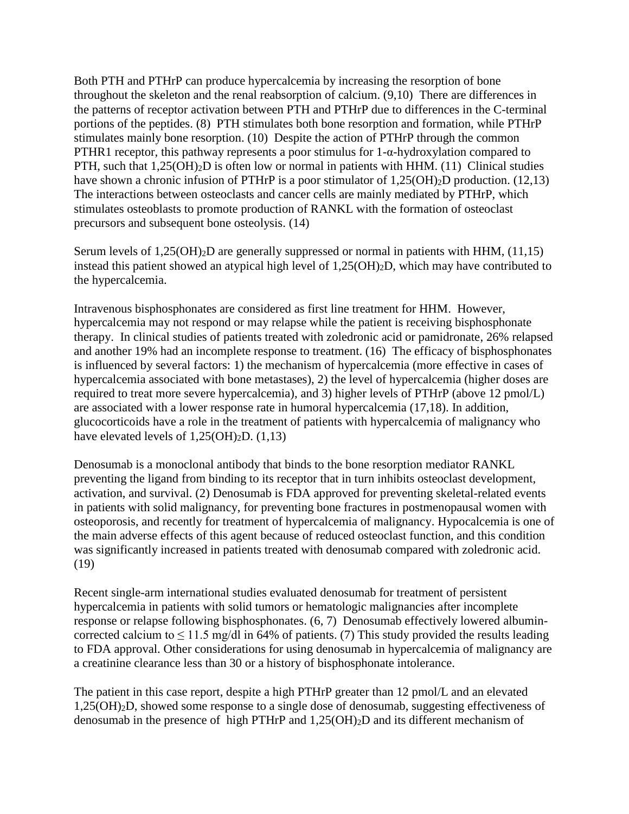Both PTH and PTHrP can produce hypercalcemia by increasing the resorption of bone throughout the skeleton and the renal reabsorption of calcium. (9,10) There are differences in the patterns of receptor activation between PTH and PTHrP due to differences in the C-terminal portions of the peptides. (8) PTH stimulates both bone resorption and formation, while PTHrP stimulates mainly bone resorption. (10) Despite the action of PTHrP through the common PTHR1 receptor, this pathway represents a poor stimulus for  $1-\alpha$ -hydroxylation compared to PTH, such that  $1,25(OH)_2D$  is often low or normal in patients with HHM. (11) Clinical studies have shown a chronic infusion of PTHrP is a poor stimulator of 1,25(OH)<sub>2</sub>D production. (12,13) The interactions between osteoclasts and cancer cells are mainly mediated by PTHrP, which stimulates osteoblasts to promote production of RANKL with the formation of osteoclast precursors and subsequent bone osteolysis. (14)

Serum levels of  $1,25(OH)_2D$  are generally suppressed or normal in patients with HHM,  $(11,15)$ instead this patient showed an atypical high level of 1,25(OH)2D, which may have contributed to the hypercalcemia.

Intravenous bisphosphonates are considered as first line treatment for HHM. However, hypercalcemia may not respond or may relapse while the patient is receiving bisphosphonate therapy. In clinical studies of patients treated with zoledronic acid or pamidronate, 26% relapsed and another 19% had an incomplete response to treatment. (16) The efficacy of bisphosphonates is influenced by several factors: 1) the mechanism of hypercalcemia (more effective in cases of hypercalcemia associated with bone metastases), 2) the level of hypercalcemia (higher doses are required to treat more severe hypercalcemia), and 3) higher levels of PTHrP (above 12 pmol/L) are associated with a lower response rate in humoral hypercalcemia (17,18). In addition, glucocorticoids have a role in the treatment of patients with hypercalcemia of malignancy who have elevated levels of  $1,25(OH)<sub>2</sub>D$ .  $(1,13)$ 

Denosumab is a monoclonal antibody that binds to the bone resorption mediator RANKL preventing the ligand from binding to its receptor that in turn inhibits osteoclast development, activation, and survival. (2) Denosumab is FDA approved for preventing skeletal-related events in patients with solid malignancy, for preventing bone fractures in postmenopausal women with osteoporosis, and recently for treatment of hypercalcemia of malignancy. Hypocalcemia is one of the main adverse effects of this agent because of reduced osteoclast function, and this condition was significantly increased in patients treated with denosumab compared with zoledronic acid. (19)

Recent single-arm international studies evaluated denosumab for treatment of persistent hypercalcemia in patients with solid tumors or hematologic malignancies after incomplete response or relapse following bisphosphonates. (6, 7) Denosumab effectively lowered albumincorrected calcium to  $\leq 11.5$  mg/dl in 64% of patients. (7) This study provided the results leading to FDA approval. Other considerations for using denosumab in hypercalcemia of malignancy are a creatinine clearance less than 30 or a history of bisphosphonate intolerance.

The patient in this case report, despite a high PTHrP greater than 12 pmol/L and an elevated 1,25(OH)2D, showed some response to a single dose of denosumab, suggesting effectiveness of denosumab in the presence of high PTHrP and 1,25(OH)2D and its different mechanism of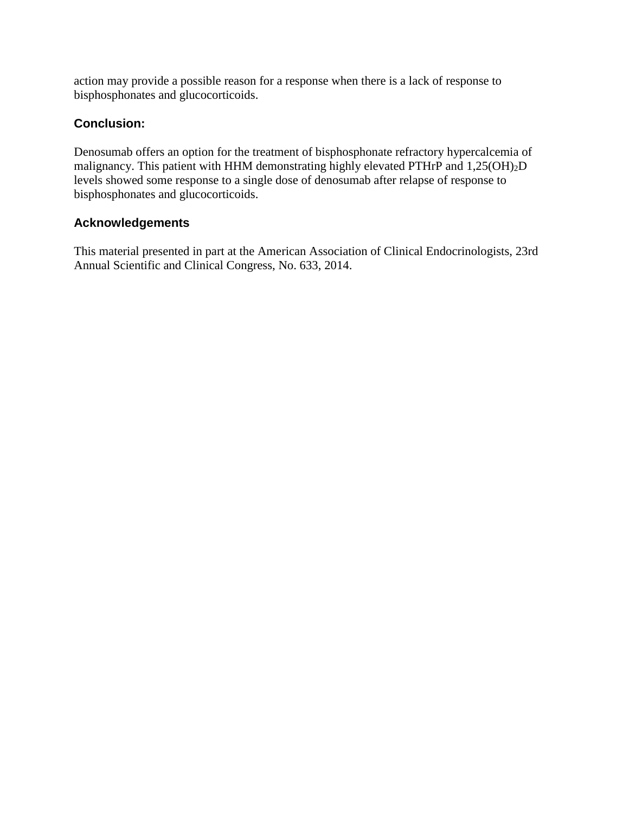action may provide a possible reason for a response when there is a lack of response to bisphosphonates and glucocorticoids.

# **Conclusion:**

Denosumab offers an option for the treatment of bisphosphonate refractory hypercalcemia of malignancy. This patient with HHM demonstrating highly elevated PTHrP and 1,25(OH)2D levels showed some response to a single dose of denosumab after relapse of response to bisphosphonates and glucocorticoids.

# **Acknowledgements**

This material presented in part at the American Association of Clinical Endocrinologists, 23rd Annual Scientific and Clinical Congress, No. 633, 2014.